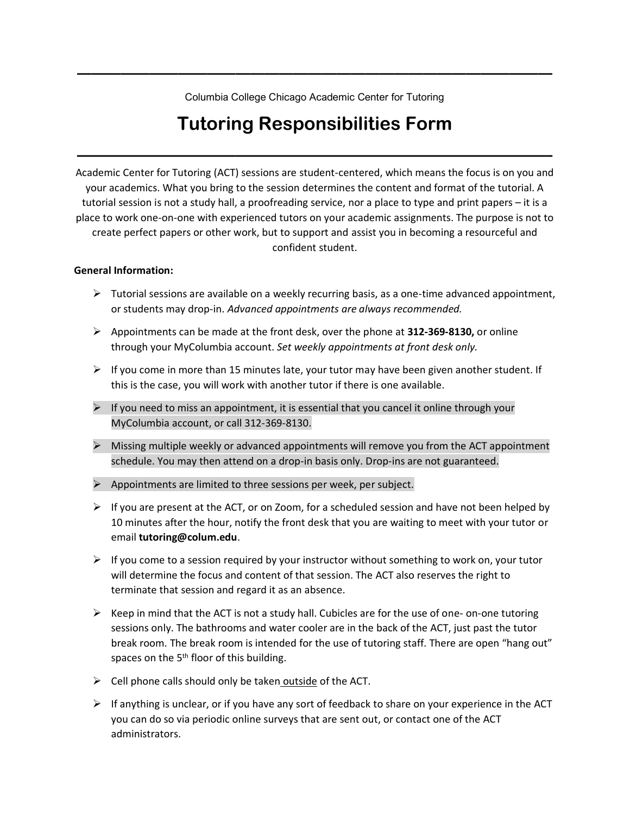Columbia College Chicago Academic Center for Tutoring

**—————————————————————————————————**

# **Tutoring Responsibilities Form**

—————————————————————————————————

Academic Center for Tutoring (ACT) sessions are student-centered, which means the focus is on you and your academics. What you bring to the session determines the content and format of the tutorial. A tutorial session is not a study hall, a proofreading service, nor a place to type and print papers – it is a place to work one-on-one with experienced tutors on your academic assignments. The purpose is not to create perfect papers or other work, but to support and assist you in becoming a resourceful and confident student.

#### **General Information:**

- $\triangleright$  Tutorial sessions are available on a weekly recurring basis, as a one-time advanced appointment, or students may drop-in. *Advanced appointments are always recommended.*
- ➢ Appointments can be made at the front desk, over the phone at **312-369-8130,** or online through your MyColumbia account. *Set weekly appointments at front desk only.*
- $\triangleright$  If you come in more than 15 minutes late, your tutor may have been given another student. If this is the case, you will work with another tutor if there is one available.
- $\triangleright$  If you need to miss an appointment, it is essential that you cancel it online through your MyColumbia account, or call 312-369-8130.
- $\triangleright$  Missing multiple weekly or advanced appointments will remove you from the ACT appointment schedule. You may then attend on a drop-in basis only. Drop-ins are not guaranteed.
- $\triangleright$  Appointments are limited to three sessions per week, per subject.
- $\triangleright$  If you are present at the ACT, or on Zoom, for a scheduled session and have not been helped by 10 minutes after the hour, notify the front desk that you are waiting to meet with your tutor or email **tutoring@colum.edu**.
- $\triangleright$  If you come to a session required by your instructor without something to work on, your tutor will determine the focus and content of that session. The ACT also reserves the right to terminate that session and regard it as an absence.
- $\triangleright$  Keep in mind that the ACT is not a study hall. Cubicles are for the use of one- on-one tutoring sessions only. The bathrooms and water cooler are in the back of the ACT, just past the tutor break room. The break room is intended for the use of tutoring staff. There are open "hang out" spaces on the  $5<sup>th</sup>$  floor of this building.
- $\triangleright$  Cell phone calls should only be taken outside of the ACT.
- $\triangleright$  If anything is unclear, or if you have any sort of feedback to share on your experience in the ACT you can do so via periodic online surveys that are sent out, or contact one of the ACT administrators.